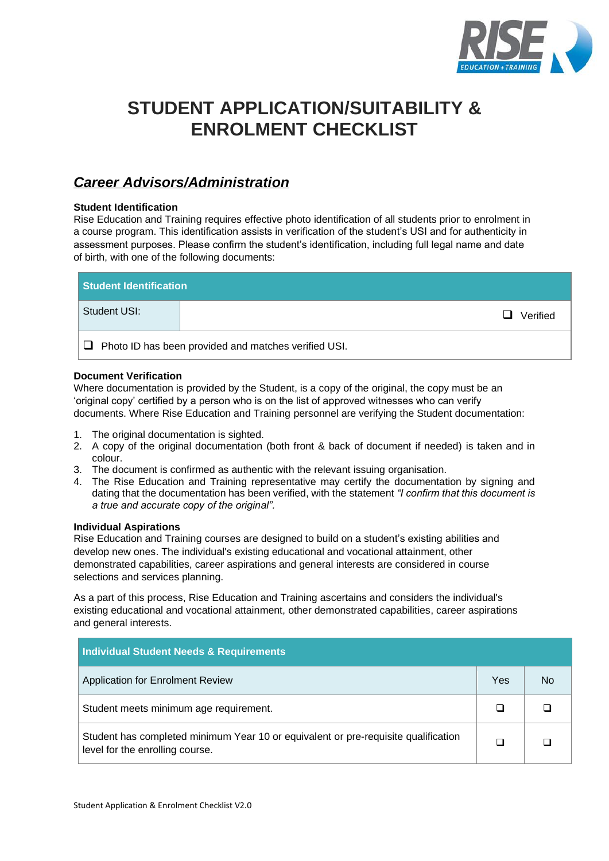

# **STUDENT APPLICATION/SUITABILITY & ENROLMENT CHECKLIST**

# *Career Advisors/Administration*

#### **Student Identification**

Rise Education and Training requires effective photo identification of all students prior to enrolment in a course program. This identification assists in verification of the student's USI and for authenticity in assessment purposes. Please confirm the student's identification, including full legal name and date of birth, with one of the following documents:

| Student Identification |                                                      |
|------------------------|------------------------------------------------------|
| Student USI:           | Verified<br>H                                        |
| ⊔                      | Photo ID has been provided and matches verified USI. |

### **Document Verification**

Where documentation is provided by the Student, is a copy of the original, the copy must be an 'original copy' certified by a person who is on the list of approved witnesses who can verify documents. Where Rise Education and Training personnel are verifying the Student documentation:

- 1. The original documentation is sighted.
- 2. A copy of the original documentation (both front & back of document if needed) is taken and in colour.
- 3. The document is confirmed as authentic with the relevant issuing organisation.
- 4. The Rise Education and Training representative may certify the documentation by signing and dating that the documentation has been verified, with the statement *"I confirm that this document is a true and accurate copy of the original".*

#### **Individual Aspirations**

Rise Education and Training courses are designed to build on a student's existing abilities and develop new ones. The individual's existing educational and vocational attainment, other demonstrated capabilities, career aspirations and general interests are considered in course selections and services planning.

As a part of this process, Rise Education and Training ascertains and considers the individual's existing educational and vocational attainment, other demonstrated capabilities, career aspirations and general interests.

| <b>Individual Student Needs &amp; Requirements</b>                                                                    |     |    |
|-----------------------------------------------------------------------------------------------------------------------|-----|----|
| <b>Application for Enrolment Review</b>                                                                               | Yes | N٥ |
| Student meets minimum age requirement.                                                                                |     |    |
| Student has completed minimum Year 10 or equivalent or pre-requisite qualification<br>level for the enrolling course. |     |    |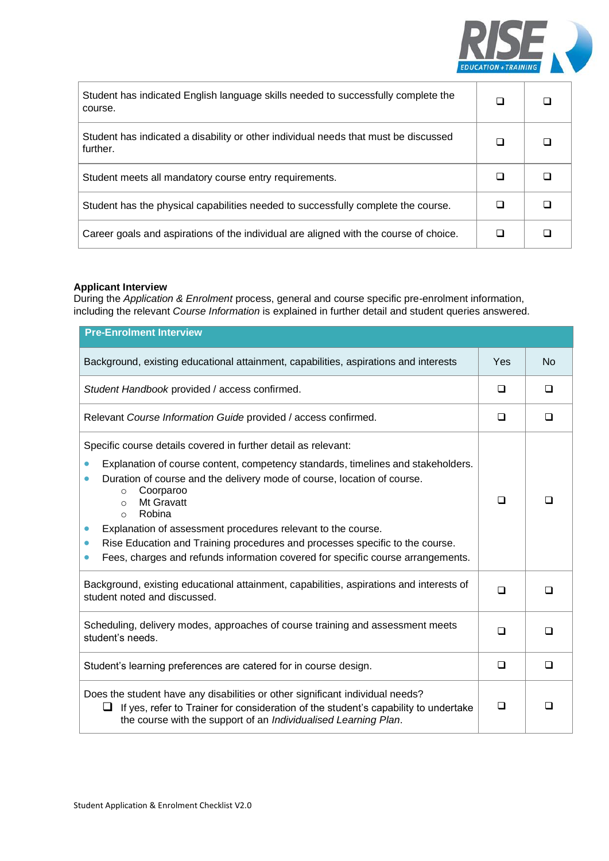

| Student has indicated English language skills needed to successfully complete the<br>course.    |  |  |
|-------------------------------------------------------------------------------------------------|--|--|
| Student has indicated a disability or other individual needs that must be discussed<br>further. |  |  |
| Student meets all mandatory course entry requirements.                                          |  |  |
| Student has the physical capabilities needed to successfully complete the course.               |  |  |
| Career goals and aspirations of the individual are aligned with the course of choice.           |  |  |

## **Applicant Interview**

During the *Application & Enrolment* process, general and course specific pre-enrolment information, including the relevant *Course Information* is explained in further detail and student queries answered.

| <b>Pre-Enrolment Interview</b>                                                                                                                                                                                                                                                                                                                                                                                                                                                                                                                                                       |   |           |
|--------------------------------------------------------------------------------------------------------------------------------------------------------------------------------------------------------------------------------------------------------------------------------------------------------------------------------------------------------------------------------------------------------------------------------------------------------------------------------------------------------------------------------------------------------------------------------------|---|-----------|
| Background, existing educational attainment, capabilities, aspirations and interests                                                                                                                                                                                                                                                                                                                                                                                                                                                                                                 |   | <b>No</b> |
| Student Handbook provided / access confirmed.                                                                                                                                                                                                                                                                                                                                                                                                                                                                                                                                        | ◻ | $\Box$    |
| Relevant Course Information Guide provided / access confirmed.                                                                                                                                                                                                                                                                                                                                                                                                                                                                                                                       | □ | □         |
| Specific course details covered in further detail as relevant:<br>Explanation of course content, competency standards, timelines and stakeholders.<br>$\bullet$<br>Duration of course and the delivery mode of course, location of course.<br>$\bullet$<br>Coorparoo<br>$\circ$<br>Mt Gravatt<br>$\Omega$<br>Robina<br>$\Omega$<br>Explanation of assessment procedures relevant to the course.<br>$\bullet$<br>Rise Education and Training procedures and processes specific to the course.<br>٠<br>Fees, charges and refunds information covered for specific course arrangements. |   |           |
| Background, existing educational attainment, capabilities, aspirations and interests of<br>student noted and discussed.                                                                                                                                                                                                                                                                                                                                                                                                                                                              |   | □         |
| Scheduling, delivery modes, approaches of course training and assessment meets<br>student's needs.                                                                                                                                                                                                                                                                                                                                                                                                                                                                                   |   | □         |
| Student's learning preferences are catered for in course design.                                                                                                                                                                                                                                                                                                                                                                                                                                                                                                                     | □ | $\Box$    |
| Does the student have any disabilities or other significant individual needs?<br>If yes, refer to Trainer for consideration of the student's capability to undertake<br>u<br>the course with the support of an Individualised Learning Plan.                                                                                                                                                                                                                                                                                                                                         |   | П         |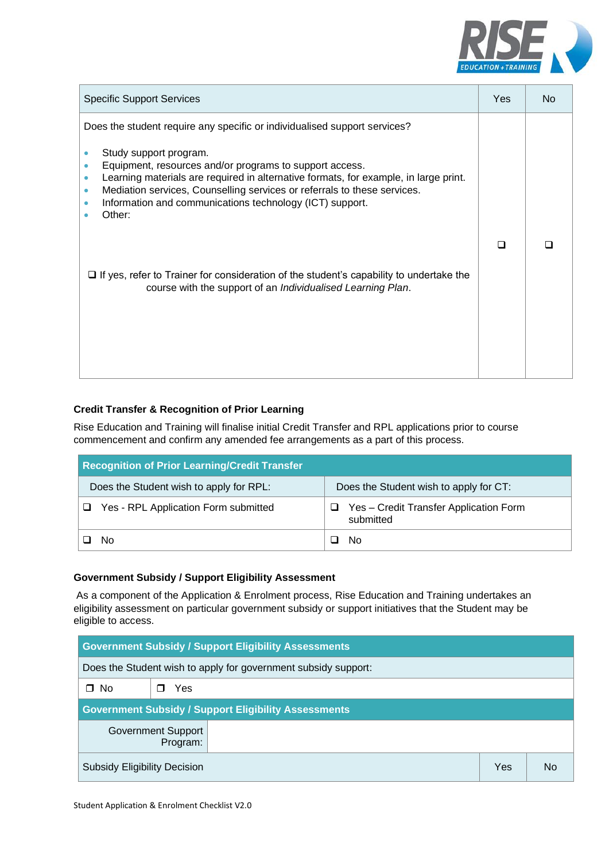

| <b>Specific Support Services</b>                                                                                                                                                                                                                                                                                                                                                                                                |  | No. |
|---------------------------------------------------------------------------------------------------------------------------------------------------------------------------------------------------------------------------------------------------------------------------------------------------------------------------------------------------------------------------------------------------------------------------------|--|-----|
| Does the student require any specific or individualised support services?<br>Study support program.<br>Equipment, resources and/or programs to support access.<br>Learning materials are required in alternative formats, for example, in large print.<br>۰<br>Mediation services, Counselling services or referrals to these services.<br>$\bullet$<br>Information and communications technology (ICT) support.<br>٠<br>Other: |  |     |
| $\Box$ If yes, refer to Trainer for consideration of the student's capability to undertake the<br>course with the support of an Individualised Learning Plan.                                                                                                                                                                                                                                                                   |  |     |

## **Credit Transfer & Recognition of Prior Learning**

Rise Education and Training will finalise initial Credit Transfer and RPL applications prior to course commencement and confirm any amended fee arrangements as a part of this process.

| <b>Recognition of Prior Learning/Credit Transfer</b> |                                                            |
|------------------------------------------------------|------------------------------------------------------------|
| Does the Student wish to apply for RPL:              | Does the Student wish to apply for CT:                     |
| □ Yes - RPL Application Form submitted               | $\Box$ Yes - Credit Transfer Application Form<br>submitted |
| N٥                                                   | Nο                                                         |

## **Government Subsidy / Support Eligibility Assessment**

As a component of the Application & Enrolment process, Rise Education and Training undertakes an eligibility assessment on particular government subsidy or support initiatives that the Student may be eligible to access.

| <b>Government Subsidy / Support Eligibility Assessments</b>    |          |     |    |
|----------------------------------------------------------------|----------|-----|----|
| Does the Student wish to apply for government subsidy support: |          |     |    |
| $\Box$ No                                                      | Yes<br>П |     |    |
| <b>Government Subsidy / Support Eligibility Assessments</b>    |          |     |    |
| <b>Government Support</b><br>Program:                          |          |     |    |
| <b>Subsidy Eligibility Decision</b>                            |          | Yes | Nο |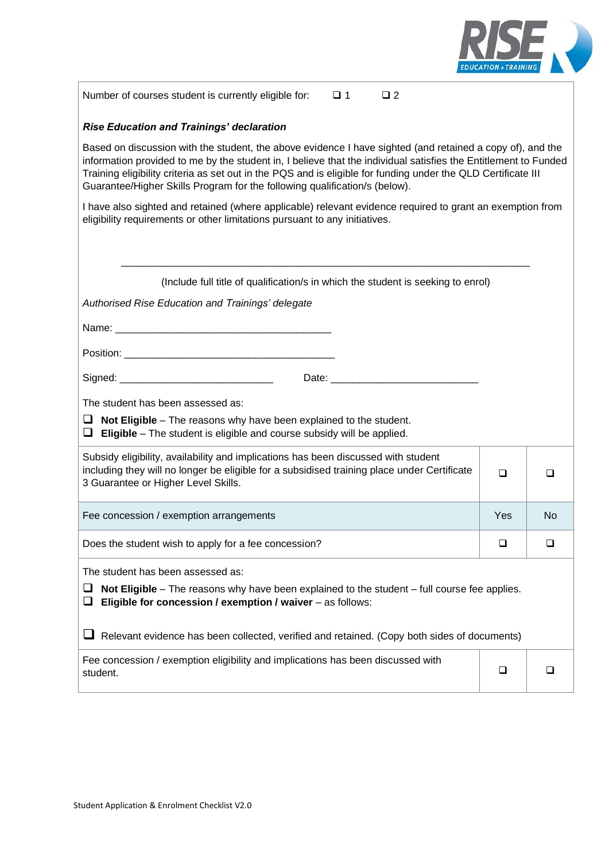

| Number of courses student is currently eligible for:<br>$\Box$ 1<br>$\Box$ 2                                                                                                                                                                                                                                                                                                                                                                                                                                                                                                                                           |        |    |  |  |
|------------------------------------------------------------------------------------------------------------------------------------------------------------------------------------------------------------------------------------------------------------------------------------------------------------------------------------------------------------------------------------------------------------------------------------------------------------------------------------------------------------------------------------------------------------------------------------------------------------------------|--------|----|--|--|
| <b>Rise Education and Trainings' declaration</b>                                                                                                                                                                                                                                                                                                                                                                                                                                                                                                                                                                       |        |    |  |  |
| Based on discussion with the student, the above evidence I have sighted (and retained a copy of), and the<br>information provided to me by the student in, I believe that the individual satisfies the Entitlement to Funded<br>Training eligibility criteria as set out in the PQS and is eligible for funding under the QLD Certificate III<br>Guarantee/Higher Skills Program for the following qualification/s (below).<br>I have also sighted and retained (where applicable) relevant evidence required to grant an exemption from<br>eligibility requirements or other limitations pursuant to any initiatives. |        |    |  |  |
|                                                                                                                                                                                                                                                                                                                                                                                                                                                                                                                                                                                                                        |        |    |  |  |
| (Include full title of qualification/s in which the student is seeking to enrol)                                                                                                                                                                                                                                                                                                                                                                                                                                                                                                                                       |        |    |  |  |
| Authorised Rise Education and Trainings' delegate                                                                                                                                                                                                                                                                                                                                                                                                                                                                                                                                                                      |        |    |  |  |
|                                                                                                                                                                                                                                                                                                                                                                                                                                                                                                                                                                                                                        |        |    |  |  |
|                                                                                                                                                                                                                                                                                                                                                                                                                                                                                                                                                                                                                        |        |    |  |  |
| Date: the contract of the contract of the contract of the contract of the contract of the contract of the contract of the contract of the contract of the contract of the contract of the contract of the contract of the cont                                                                                                                                                                                                                                                                                                                                                                                         |        |    |  |  |
| The student has been assessed as:<br>⊔<br>Not Eligible - The reasons why have been explained to the student.<br>Eligible - The student is eligible and course subsidy will be applied.<br>⊔                                                                                                                                                                                                                                                                                                                                                                                                                            |        |    |  |  |
| Subsidy eligibility, availability and implications has been discussed with student<br>including they will no longer be eligible for a subsidised training place under Certificate<br>3 Guarantee or Higher Level Skills.                                                                                                                                                                                                                                                                                                                                                                                               | $\Box$ | ◻  |  |  |
| Fee concession / exemption arrangements                                                                                                                                                                                                                                                                                                                                                                                                                                                                                                                                                                                | Yes    | No |  |  |
| Does the student wish to apply for a fee concession?                                                                                                                                                                                                                                                                                                                                                                                                                                                                                                                                                                   |        |    |  |  |
| The student has been assessed as:                                                                                                                                                                                                                                                                                                                                                                                                                                                                                                                                                                                      |        |    |  |  |
| Not Eligible - The reasons why have been explained to the student - full course fee applies.<br>⊔<br>Eligible for concession / exemption / waiver - as follows:<br>⊔                                                                                                                                                                                                                                                                                                                                                                                                                                                   |        |    |  |  |
| Relevant evidence has been collected, verified and retained. (Copy both sides of documents)                                                                                                                                                                                                                                                                                                                                                                                                                                                                                                                            |        |    |  |  |
| Fee concession / exemption eligibility and implications has been discussed with<br>student.                                                                                                                                                                                                                                                                                                                                                                                                                                                                                                                            | $\Box$ | □  |  |  |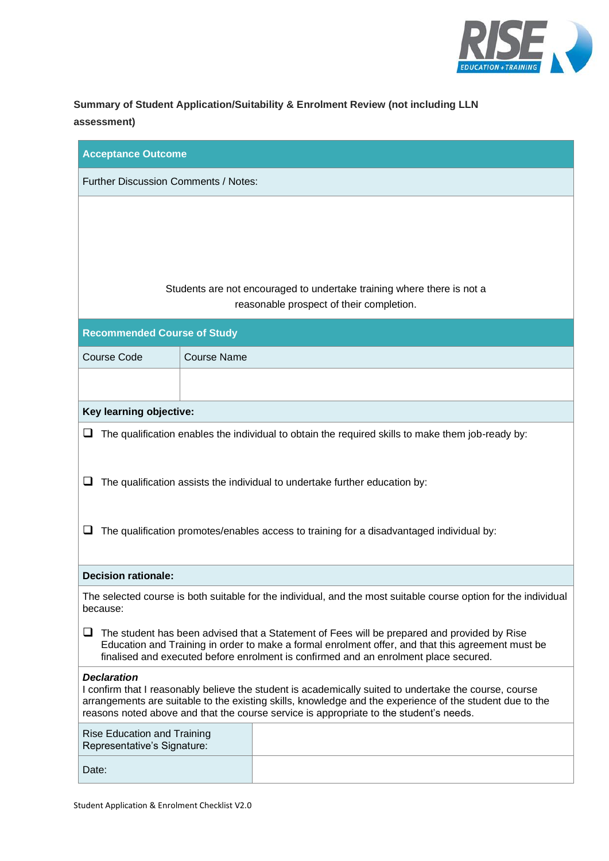

# **Summary of Student Application/Suitability & Enrolment Review (not including LLN assessment)**

| <b>Acceptance Outcome</b>                                                                                                                                                                                                                                                                                                          |                    |                                                                                                                    |  |
|------------------------------------------------------------------------------------------------------------------------------------------------------------------------------------------------------------------------------------------------------------------------------------------------------------------------------------|--------------------|--------------------------------------------------------------------------------------------------------------------|--|
| Further Discussion Comments / Notes:                                                                                                                                                                                                                                                                                               |                    |                                                                                                                    |  |
|                                                                                                                                                                                                                                                                                                                                    |                    |                                                                                                                    |  |
|                                                                                                                                                                                                                                                                                                                                    |                    |                                                                                                                    |  |
|                                                                                                                                                                                                                                                                                                                                    |                    |                                                                                                                    |  |
|                                                                                                                                                                                                                                                                                                                                    |                    | Students are not encouraged to undertake training where there is not a<br>reasonable prospect of their completion. |  |
| <b>Recommended Course of Study</b>                                                                                                                                                                                                                                                                                                 |                    |                                                                                                                    |  |
| <b>Course Code</b>                                                                                                                                                                                                                                                                                                                 | <b>Course Name</b> |                                                                                                                    |  |
|                                                                                                                                                                                                                                                                                                                                    |                    |                                                                                                                    |  |
| Key learning objective:                                                                                                                                                                                                                                                                                                            |                    |                                                                                                                    |  |
| ⊔                                                                                                                                                                                                                                                                                                                                  |                    | The qualification enables the individual to obtain the required skills to make them job-ready by:                  |  |
|                                                                                                                                                                                                                                                                                                                                    |                    |                                                                                                                    |  |
| The qualification assists the individual to undertake further education by:                                                                                                                                                                                                                                                        |                    |                                                                                                                    |  |
| ⊔                                                                                                                                                                                                                                                                                                                                  |                    | The qualification promotes/enables access to training for a disadvantaged individual by:                           |  |
|                                                                                                                                                                                                                                                                                                                                    |                    |                                                                                                                    |  |
| <b>Decision rationale:</b>                                                                                                                                                                                                                                                                                                         |                    |                                                                                                                    |  |
| because:                                                                                                                                                                                                                                                                                                                           |                    | The selected course is both suitable for the individual, and the most suitable course option for the individual    |  |
| u                                                                                                                                                                                                                                                                                                                                  |                    | The student has been advised that a Statement of Fees will be prepared and provided by Rise                        |  |
| Education and Training in order to make a formal enrolment offer, and that this agreement must be<br>finalised and executed before enrolment is confirmed and an enrolment place secured.                                                                                                                                          |                    |                                                                                                                    |  |
| <b>Declaration</b><br>I confirm that I reasonably believe the student is academically suited to undertake the course, course<br>arrangements are suitable to the existing skills, knowledge and the experience of the student due to the<br>reasons noted above and that the course service is appropriate to the student's needs. |                    |                                                                                                                    |  |
| <b>Rise Education and Training</b><br>Representative's Signature:                                                                                                                                                                                                                                                                  |                    |                                                                                                                    |  |
| Date:                                                                                                                                                                                                                                                                                                                              |                    |                                                                                                                    |  |